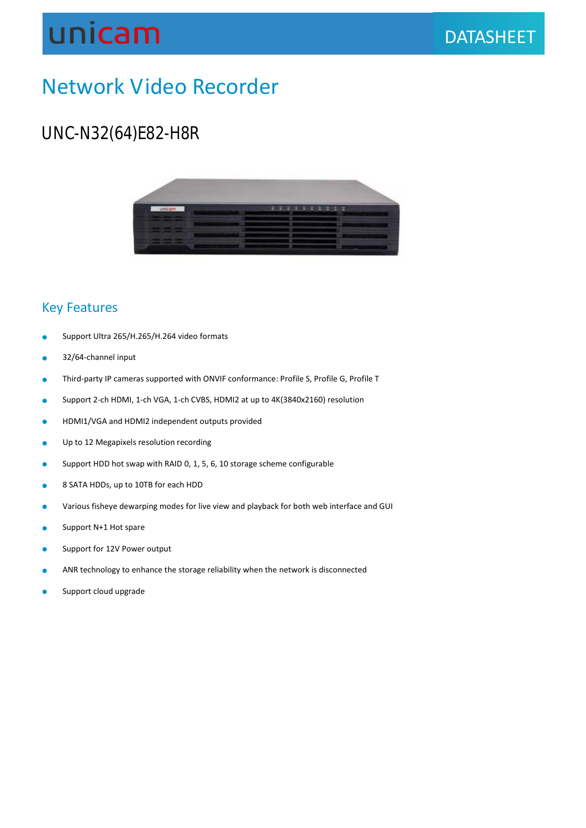## unicam

## Network Video Recorder

### UNC-N32(64)E82-H8R



#### Key Features

- **Support Ultra 265/H.265/H.264 video formats**
- 32/64-channel input
- Third-party IP cameras supported with ONVIF conformance: Profile S, Profile G, Profile T
- Support 2-ch HDMI, 1-ch VGA, 1-ch CVBS, HDMI2 at up to 4K(3840x2160) resolution
- **HDMI1/VGA and HDMI2 independent outputs provided**
- **•** Up to 12 Megapixels resolution recording
- Support HDD hot swap with RAID 0, 1, 5, 6, 10 storage scheme configurable
- 8 SATA HDDs, up to 10TB for each HDD
- Various fisheye dewarping modes for live view and playback for both web interface and GUI
- Support N+1 Hot spare
- **Support for 12V Power output**
- **ANR technology to enhance the storage reliability when the network is disconnected**
- **Support cloud upgrade**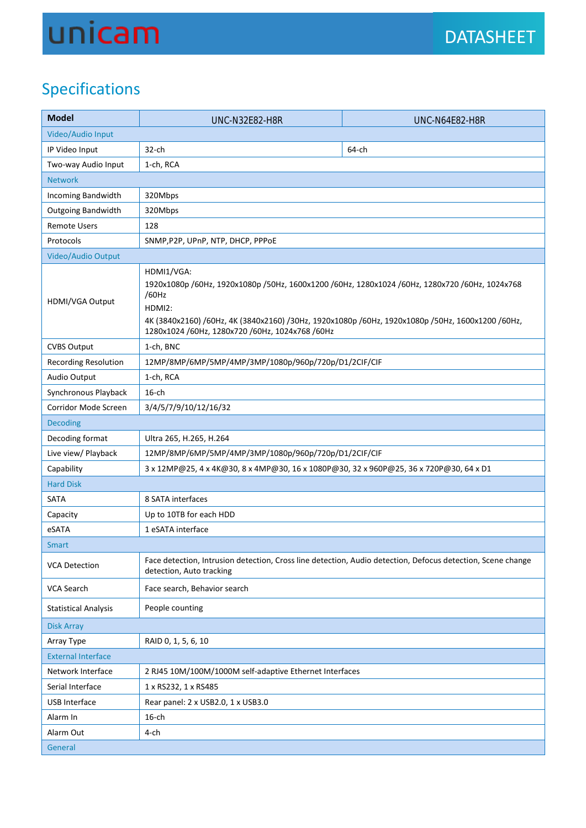# unicam

## Specifications

| <b>Model</b>                | <b>UNC-N32E82-H8R</b>                                                                                                                                                                                                                                                                  | <b>UNC-N64E82-H8R</b> |  |
|-----------------------------|----------------------------------------------------------------------------------------------------------------------------------------------------------------------------------------------------------------------------------------------------------------------------------------|-----------------------|--|
| Video/Audio Input           |                                                                                                                                                                                                                                                                                        |                       |  |
| IP Video Input              | $32$ -ch                                                                                                                                                                                                                                                                               | 64-ch                 |  |
| Two-way Audio Input         | 1-ch, RCA                                                                                                                                                                                                                                                                              |                       |  |
| <b>Network</b>              |                                                                                                                                                                                                                                                                                        |                       |  |
| Incoming Bandwidth          | 320Mbps                                                                                                                                                                                                                                                                                |                       |  |
| Outgoing Bandwidth          | 320Mbps                                                                                                                                                                                                                                                                                |                       |  |
| <b>Remote Users</b>         | 128                                                                                                                                                                                                                                                                                    |                       |  |
| Protocols                   | SNMP, P2P, UPnP, NTP, DHCP, PPPOE                                                                                                                                                                                                                                                      |                       |  |
| Video/Audio Output          |                                                                                                                                                                                                                                                                                        |                       |  |
| HDMI/VGA Output             | HDMI1/VGA:<br>1920x1080p /60Hz, 1920x1080p /50Hz, 1600x1200 /60Hz, 1280x1024 /60Hz, 1280x720 /60Hz, 1024x768<br>/60Hz<br>HDMI2:<br>4K (3840x2160) /60Hz, 4K (3840x2160) /30Hz, 1920x1080p /60Hz, 1920x1080p /50Hz, 1600x1200 /60Hz,<br>1280x1024 /60Hz, 1280x720 /60Hz, 1024x768 /60Hz |                       |  |
| <b>CVBS Output</b>          | 1-ch, BNC                                                                                                                                                                                                                                                                              |                       |  |
| <b>Recording Resolution</b> | 12MP/8MP/6MP/5MP/4MP/3MP/1080p/960p/720p/D1/2CIF/CIF                                                                                                                                                                                                                                   |                       |  |
| Audio Output                | 1-ch, RCA                                                                                                                                                                                                                                                                              |                       |  |
| Synchronous Playback        | $16$ -ch                                                                                                                                                                                                                                                                               |                       |  |
| Corridor Mode Screen        | 3/4/5/7/9/10/12/16/32                                                                                                                                                                                                                                                                  |                       |  |
| <b>Decoding</b>             |                                                                                                                                                                                                                                                                                        |                       |  |
| Decoding format             | Ultra 265, H.265, H.264                                                                                                                                                                                                                                                                |                       |  |
| Live view/ Playback         | 12MP/8MP/6MP/5MP/4MP/3MP/1080p/960p/720p/D1/2CIF/CIF                                                                                                                                                                                                                                   |                       |  |
| Capability                  | 3 x 12MP@25, 4 x 4K@30, 8 x 4MP@30, 16 x 1080P@30, 32 x 960P@25, 36 x 720P@30, 64 x D1                                                                                                                                                                                                 |                       |  |
| <b>Hard Disk</b>            |                                                                                                                                                                                                                                                                                        |                       |  |
| SATA                        | 8 SATA interfaces                                                                                                                                                                                                                                                                      |                       |  |
| Capacity                    | Up to 10TB for each HDD                                                                                                                                                                                                                                                                |                       |  |
| eSATA                       | 1 eSATA interface                                                                                                                                                                                                                                                                      |                       |  |
| <b>Smart</b>                |                                                                                                                                                                                                                                                                                        |                       |  |
| <b>VCA Detection</b>        | Face detection, Intrusion detection, Cross line detection, Audio detection, Defocus detection, Scene change<br>detection, Auto tracking                                                                                                                                                |                       |  |
| VCA Search                  | Face search, Behavior search                                                                                                                                                                                                                                                           |                       |  |
| <b>Statistical Analysis</b> | People counting                                                                                                                                                                                                                                                                        |                       |  |
| <b>Disk Array</b>           |                                                                                                                                                                                                                                                                                        |                       |  |
| Array Type                  | RAID 0, 1, 5, 6, 10                                                                                                                                                                                                                                                                    |                       |  |
| <b>External Interface</b>   |                                                                                                                                                                                                                                                                                        |                       |  |
| Network Interface           | 2 RJ45 10M/100M/1000M self-adaptive Ethernet Interfaces                                                                                                                                                                                                                                |                       |  |
| Serial Interface            | 1 x RS232, 1 x RS485                                                                                                                                                                                                                                                                   |                       |  |
| <b>USB Interface</b>        | Rear panel: 2 x USB2.0, 1 x USB3.0                                                                                                                                                                                                                                                     |                       |  |
| Alarm In                    | $16$ -ch                                                                                                                                                                                                                                                                               |                       |  |
| Alarm Out                   | 4-ch                                                                                                                                                                                                                                                                                   |                       |  |
| General                     |                                                                                                                                                                                                                                                                                        |                       |  |